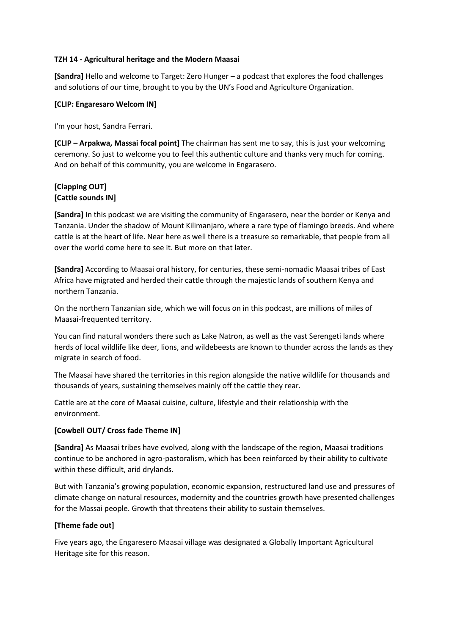## **TZH 14 - Agricultural heritage and the Modern Maasai**

**[Sandra]** Hello and welcome to Target: Zero Hunger – a podcast that explores the food challenges and solutions of our time, brought to you by the UN's Food and Agriculture Organization.

## **[CLIP: Engaresaro Welcom IN]**

I'm your host, Sandra Ferrari.

**[CLIP – Arpakwa, Massai focal point]** The chairman has sent me to say, this is just your welcoming ceremony. So just to welcome you to feel this authentic culture and thanks very much for coming. And on behalf of this community, you are welcome in Engarasero.

# **[Clapping OUT] [Cattle sounds IN]**

**[Sandra]** In this podcast we are visiting the community of Engarasero, near the border or Kenya and Tanzania. Under the shadow of Mount Kilimanjaro, where a rare type of flamingo breeds. And where cattle is at the heart of life. Near here as well there is a treasure so remarkable, that people from all over the world come here to see it. But more on that later.

**[Sandra]** According to Maasai oral history, for centuries, these semi-nomadic Maasai tribes of East Africa have migrated and herded their cattle through the majestic lands of southern Kenya and northern Tanzania.

On the northern Tanzanian side, which we will focus on in this podcast, are millions of miles of Maasai-frequented territory.

You can find natural wonders there such as Lake Natron, as well as the vast Serengeti lands where herds of local wildlife like deer, lions, and wildebeests are known to thunder across the lands as they migrate in search of food.

The Maasai have shared the territories in this region alongside the native wildlife for thousands and thousands of years, sustaining themselves mainly off the cattle they rear.

Cattle are at the core of Maasai cuisine, culture, lifestyle and their relationship with the environment.

## **[Cowbell OUT/ Cross fade Theme IN]**

**[Sandra]** As Maasai tribes have evolved, along with the landscape of the region, Maasai traditions continue to be anchored in agro-pastoralism, which has been reinforced by their ability to cultivate within these difficult, arid drylands.

But with Tanzania's growing population, economic expansion, restructured land use and pressures of climate change on natural resources, modernity and the countries growth have presented challenges for the Massai people. Growth that threatens their ability to sustain themselves.

## **[Theme fade out]**

Five years ago, the Engaresero Maasai village was designated a Globally Important Agricultural Heritage site for this reason.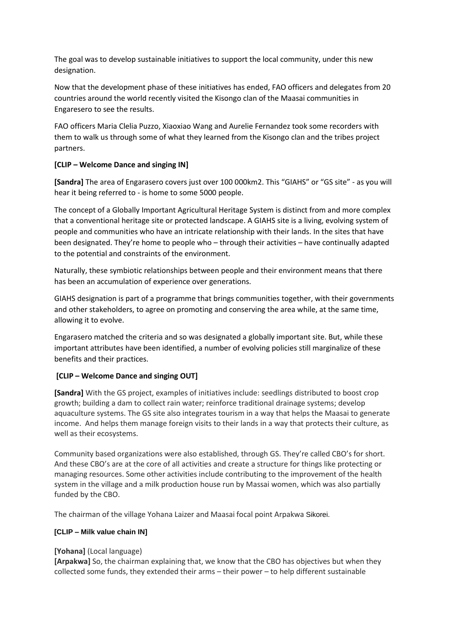The goal was to develop sustainable initiatives to support the local community, under this new designation.

Now that the development phase of these initiatives has ended, FAO officers and delegates from 20 countries around the world recently visited the Kisongo clan of the Maasai communities in Engaresero to see the results.

FAO officers Maria Clelia Puzzo, Xiaoxiao Wang and Aurelie Fernandez took some recorders with them to walk us through some of what they learned from the Kisongo clan and the tribes project partners.

## **[CLIP – Welcome Dance and singing IN]**

**[Sandra]** The area of Engarasero covers just over 100 000km2. This "GIAHS" or "GS site" - as you will hear it being referred to - is home to some 5000 people.

The concept of a Globally Important Agricultural Heritage System is distinct from and more complex that a conventional heritage site or protected landscape. A GIAHS site is a living, evolving system of people and communities who have an intricate relationship with their lands. In the sites that have been designated. They're home to people who – through their activities – have continually adapted to the potential and constraints of the environment.

Naturally, these symbiotic relationships between people and their environment means that there has been an accumulation of experience over generations.

GIAHS designation is part of a programme that brings communities together, with their governments and other stakeholders, to agree on promoting and conserving the area while, at the same time, allowing it to evolve.

Engarasero matched the criteria and so was designated a globally important site. But, while these important attributes have been identified, a number of evolving policies still marginalize of these benefits and their practices.

#### **[CLIP – Welcome Dance and singing OUT]**

**[Sandra]** With the GS project, examples of initiatives include: seedlings distributed to boost crop growth; building a dam to collect rain water; reinforce traditional drainage systems; develop aquaculture systems. The GS site also integrates tourism in a way that helps the Maasai to generate income. And helps them manage foreign visits to their lands in a way that protects their culture, as well as their ecosystems.

Community based organizations were also established, through GS. They're called CBO's for short. And these CBO's are at the core of all activities and create a structure for things like protecting or managing resources. Some other activities include contributing to the improvement of the health system in the village and a milk production house run by Massai women, which was also partially funded by the CBO.

The chairman of the village Yohana Laizer and Maasai focal point Arpakwa Sikorei.

#### **[CLIP – Milk value chain IN]**

#### **[Yohana]** (Local language)

**[Arpakwa]** So, the chairman explaining that, we know that the CBO has objectives but when they collected some funds, they extended their arms – their power – to help different sustainable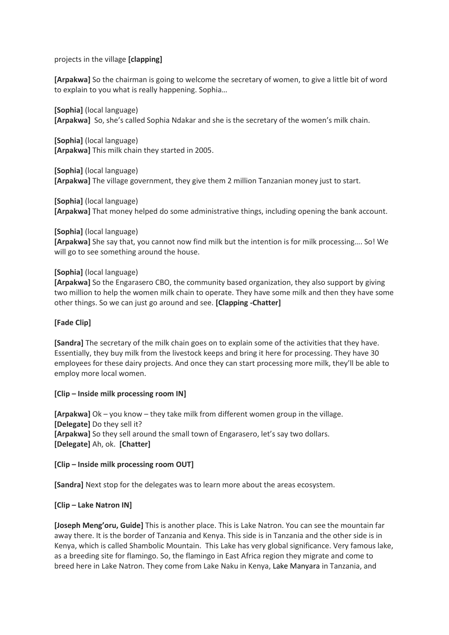projects in the village **[clapping]**

**[Arpakwa]** So the chairman is going to welcome the secretary of women, to give a little bit of word to explain to you what is really happening. Sophia…

**[Sophia]** (local language) **[Arpakwa]** So, she's called Sophia Ndakar and she is the secretary of the women's milk chain.

**[Sophia]** (local language) **[Arpakwa]** This milk chain they started in 2005.

**[Sophia]** (local language) **[Arpakwa]** The village government, they give them 2 million Tanzanian money just to start.

**[Sophia]** (local language) **[Arpakwa]** That money helped do some administrative things, including opening the bank account.

**[Sophia]** (local language)

**[Arpakwa]** She say that, you cannot now find milk but the intention is for milk processing…. So! We will go to see something around the house.

#### **[Sophia]** (local language)

**[Arpakwa]** So the Engarasero CBO, the community based organization, they also support by giving two million to help the women milk chain to operate. They have some milk and then they have some other things. So we can just go around and see. **[Clapping -Chatter]**

#### **[Fade Clip]**

**[Sandra]** The secretary of the milk chain goes on to explain some of the activities that they have. Essentially, they buy milk from the livestock keeps and bring it here for processing. They have 30 employees for these dairy projects. And once they can start processing more milk, they'll be able to employ more local women.

#### **[Clip – Inside milk processing room IN]**

**[Arpakwa]** Ok – you know – they take milk from different women group in the village. **[Delegate]** Do they sell it? **[Arpakwa]** So they sell around the small town of Engarasero, let's say two dollars. **[Delegate]** Ah, ok. **[Chatter]** 

**[Clip – Inside milk processing room OUT]**

**[Sandra]** Next stop for the delegates was to learn more about the areas ecosystem.

#### **[Clip – Lake Natron IN]**

**[Joseph Meng'oru, Guide]** This is another place. This is Lake Natron. You can see the mountain far away there. It is the border of Tanzania and Kenya. This side is in Tanzania and the other side is in Kenya, which is called Shambolic Mountain. This Lake has very global significance. Very famous lake, as a breeding site for flamingo. So, the flamingo in East Africa region they migrate and come to breed here in Lake Natron. They come from Lake Naku in Kenya, Lake Manyara in Tanzania, and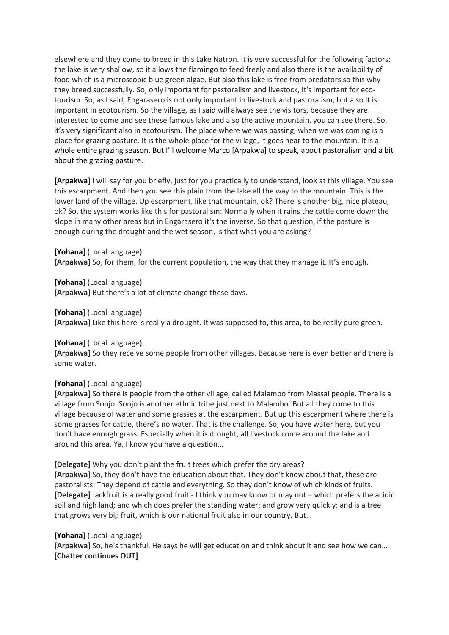elsewhere and they come to breed in this Lake Natron. It is very successful for the following factors: the lake is very shallow, so it allows the flamingo to feed freely and also there is the availability of food which is a microscopic blue green algae. But also this lake is free from predators so this why they breed successfully. So, only important for pastoralism and livestock, it's important for ecotourism. So, as I said, Engarasero is not only important in livestock and pastoralism, but also it is important in ecotourism. So the village, as I said will always see the visitors, because they are interested to come and see these famous lake and also the active mountain, you can see there. So, it's very significant also in ecotourism. The place where we was passing, when we was coming is a place for grazing pasture. It is the whole place for the village, it goes near to the mountain. It is a whole entire grazing season. But I'll welcome Marco [Arpakwa] to speak, about pastoralism and a bit about the grazing pasture.

**[Arpakwa]** I will say for you briefly, just for you practically to understand, look at this village. You see this escarpment. And then you see this plain from the lake all the way to the mountain. This is the lower land of the village. Up escarpment, like that mountain, ok? There is another big, nice plateau, ok? So, the system works like this for pastoralism: Normally when it rains the cattle come down the slope in many other areas but in Engarasero it's the inverse. So that question, if the pasture is enough during the drought and the wet season, is that what you are asking?

**[Yohana]** (Local language) **[Arpakwa]** So, for them, for the current population, the way that they manage it. It's enough.

**[Yohana]** (Local language) **[Arpakwa]** But there's a lot of climate change these days.

**[Yohana]** (Local language)

**[Arpakwa]** Like this here is really a drought. It was supposed to, this area, to be really pure green.

#### **[Yohana]** (Local language)

**[Arpakwa]** So they receive some people from other villages. Because here is even better and there is some water.

#### **[Yohana]** (Local language)

**[Arpakwa]** So there is people from the other village, called Malambo from Massai people. There is a village from Sonjo. Sonjo is another ethnic tribe just next to Malambo. But all they come to this village because of water and some grasses at the escarpment. But up this escarpment where there is some grasses for cattle, there's no water. That is the challenge. So, you have water here, but you don't have enough grass. Especially when it is drought, all livestock come around the lake and around this area. Ya, I know you have a question…

**[Delegate]** Why you don't plant the fruit trees which prefer the dry areas?

**[Arpakwa]** So, they don't have the education about that. They don't know about that, these are pastoralists. They depend of cattle and everything. So they don't know of which kinds of fruits. **[Delegate]** Jackfruit is a really good fruit - I think you may know or may not – which prefers the acidic soil and high land; and which does prefer the standing water; and grow very quickly; and is a tree that grows very big fruit, which is our national fruit also in our country. But…

#### **[Yohana]** (Local language)

**[Arpakwa]** So, he's thankful. He says he will get education and think about it and see how we can… **[Chatter continues OUT]**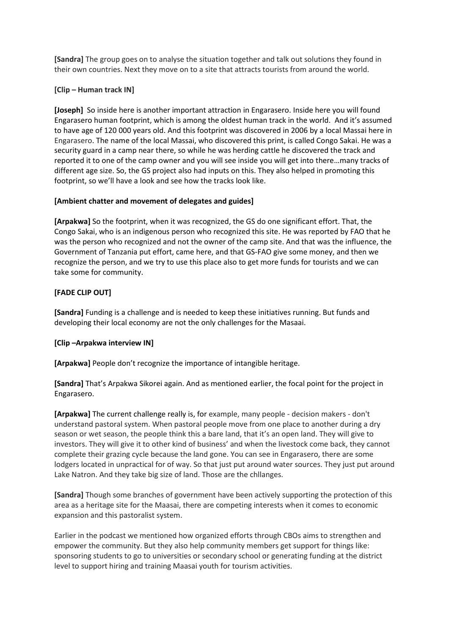**[Sandra]** The group goes on to analyse the situation together and talk out solutions they found in their own countries. Next they move on to a site that attracts tourists from around the world.

## **[Clip – Human track IN]**

**[Joseph]** So inside here is another important attraction in Engarasero. Inside here you will found Engarasero human footprint, which is among the oldest human track in the world. And it's assumed to have age of 120 000 years old. And this footprint was discovered in 2006 by a local Massai here in Engarasero. The name of the local Massai, who discovered this print, is called Congo Sakai. He was a security guard in a camp near there, so while he was herding cattle he discovered the track and reported it to one of the camp owner and you will see inside you will get into there…many tracks of different age size. So, the GS project also had inputs on this. They also helped in promoting this footprint, so we'll have a look and see how the tracks look like.

## **[Ambient chatter and movement of delegates and guides]**

**[Arpakwa]** So the footprint, when it was recognized, the GS do one significant effort. That, the Congo Sakai, who is an indigenous person who recognized this site. He was reported by FAO that he was the person who recognized and not the owner of the camp site. And that was the influence, the Government of Tanzania put effort, came here, and that GS-FAO give some money, and then we recognize the person, and we try to use this place also to get more funds for tourists and we can take some for community.

## **[FADE CLIP OUT]**

**[Sandra]** Funding is a challenge and is needed to keep these initiatives running. But funds and developing their local economy are not the only challenges for the Masaai.

#### **[Clip –Arpakwa interview IN]**

**[Arpakwa]** People don't recognize the importance of intangible heritage.

**[Sandra]** That's Arpakwa Sikorei again. And as mentioned earlier, the focal point for the project in Engarasero.

**[Arpakwa]** The current challenge really is, for example, many people - decision makers - don't understand pastoral system. When pastoral people move from one place to another during a dry season or wet season, the people think this a bare land, that it's an open land. They will give to investors. They will give it to other kind of business' and when the livestock come back, they cannot complete their grazing cycle because the land gone. You can see in Engarasero, there are some lodgers located in unpractical for of way. So that just put around water sources. They just put around Lake Natron. And they take big size of land. Those are the chllanges.

**[Sandra]** Though some branches of government have been actively supporting the protection of this area as a heritage site for the Maasai, there are competing interests when it comes to economic expansion and this pastoralist system.

Earlier in the podcast we mentioned how organized efforts through CBOs aims to strengthen and empower the community. But they also help community members get support for things like: sponsoring students to go to universities or secondary school or generating funding at the district level to support hiring and training Maasai youth for tourism activities.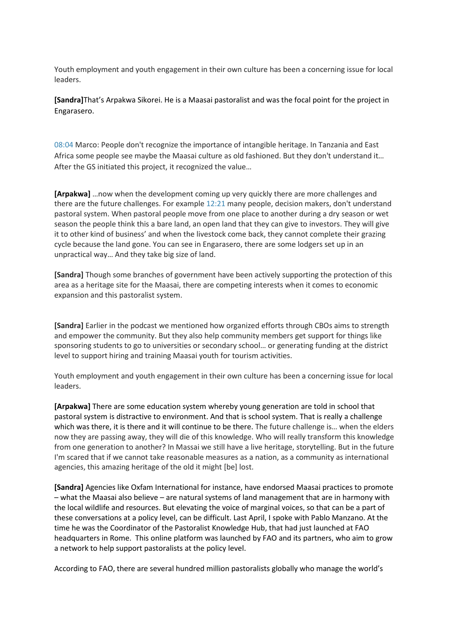Youth employment and youth engagement in their own culture has been a concerning issue for local leaders.

**[Sandra]**That's Arpakwa Sikorei. He is a Maasai pastoralist and was the focal point for the project in Engarasero.

08:04 Marco: People don't recognize the importance of intangible heritage. In Tanzania and East Africa some people see maybe the Maasai culture as old fashioned. But they don't understand it… After the GS initiated this project, it recognized the value…

**[Arpakwa]** …now when the development coming up very quickly there are more challenges and there are the future challenges. For example 12:21 many people, decision makers, don't understand pastoral system. When pastoral people move from one place to another during a dry season or wet season the people think this a bare land, an open land that they can give to investors. They will give it to other kind of business' and when the livestock come back, they cannot complete their grazing cycle because the land gone. You can see in Engarasero, there are some lodgers set up in an unpractical way… And they take big size of land.

**[Sandra]** Though some branches of government have been actively supporting the protection of this area as a heritage site for the Maasai, there are competing interests when it comes to economic expansion and this pastoralist system.

**[Sandra]** Earlier in the podcast we mentioned how organized efforts through CBOs aims to strength and empower the community. But they also help community members get support for things like sponsoring students to go to universities or secondary school… or generating funding at the district level to support hiring and training Maasai youth for tourism activities.

Youth employment and youth engagement in their own culture has been a concerning issue for local leaders.

**[Arpakwa]** There are some education system whereby young generation are told in school that pastoral system is distractive to environment. And that is school system. That is really a challenge which was there, it is there and it will continue to be there. The future challenge is... when the elders now they are passing away, they will die of this knowledge. Who will really transform this knowledge from one generation to another? In Massai we still have a live heritage, storytelling. But in the future I'm scared that if we cannot take reasonable measures as a nation, as a community as international agencies, this amazing heritage of the old it might [be] lost.

**[Sandra]** Agencies like Oxfam International for instance, have endorsed Maasai practices to promote – what the Maasai also believe – are natural systems of land management that are in harmony with the local wildlife and resources. But elevating the voice of marginal voices, so that can be a part of these conversations at a policy level, can be difficult. Last April, I spoke with Pablo Manzano. At the time he was the Coordinator of the Pastoralist Knowledge Hub, that had just launched at FAO headquarters in Rome. This online platform was launched by FAO and its partners, who aim to grow a network to help support pastoralists at the policy level.

According to FAO, there are several hundred million pastoralists globally who manage the world's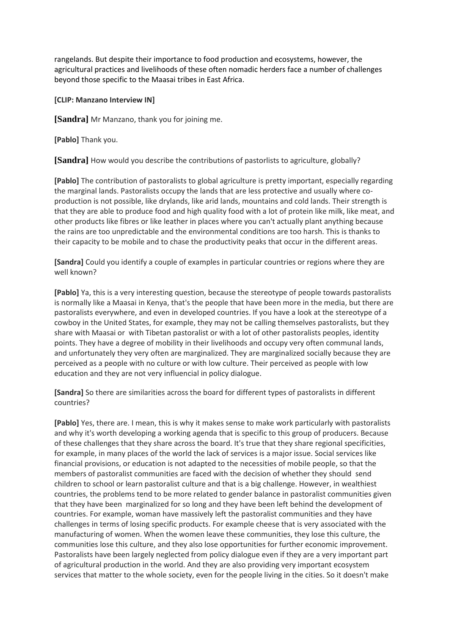rangelands. But despite their importance to food production and ecosystems, however, the agricultural practices and livelihoods of these often nomadic herders face a number of challenges beyond those specific to the Maasai tribes in East Africa.

**[CLIP: Manzano Interview IN]**

**[Sandra]** Mr Manzano, thank you for joining me.

**[Pablo]** Thank you.

**[Sandra]** How would you describe the contributions of pastorlists to agriculture, globally?

**[Pablo]** The contribution of pastoralists to global agriculture is pretty important, especially regarding the marginal lands. Pastoralists occupy the lands that are less protective and usually where coproduction is not possible, like drylands, like arid lands, mountains and cold lands. Their strength is that they are able to produce food and high quality food with a lot of protein like milk, like meat, and other products like fibres or like leather in places where you can't actually plant anything because the rains are too unpredictable and the environmental conditions are too harsh. This is thanks to their capacity to be mobile and to chase the productivity peaks that occur in the different areas.

**[Sandra]** Could you identify a couple of examples in particular countries or regions where they are well known?

**[Pablo]** Ya, this is a very interesting question, because the stereotype of people towards pastoralists is normally like a Maasai in Kenya, that's the people that have been more in the media, but there are pastoralists everywhere, and even in developed countries. If you have a look at the stereotype of a cowboy in the United States, for example, they may not be calling themselves pastoralists, but they share with Maasai or with Tibetan pastoralist or with a lot of other pastoralists peoples, identity points. They have a degree of mobility in their livelihoods and occupy very often communal lands, and unfortunately they very often are marginalized. They are marginalized socially because they are perceived as a people with no culture or with low culture. Their perceived as people with low education and they are not very influencial in policy dialogue.

**[Sandra]** So there are similarities across the board for different types of pastoralists in different countries?

**[Pablo]** Yes, there are. I mean, this is why it makes sense to make work particularly with pastoralists and why it's worth developing a working agenda that is specific to this group of producers. Because of these challenges that they share across the board. It's true that they share regional specificities, for example, in many places of the world the lack of services is a major issue. Social services like financial provisions, or education is not adapted to the necessities of mobile people, so that the members of pastoralist communities are faced with the decision of whether they should send children to school or learn pastoralist culture and that is a big challenge. However, in wealthiest countries, the problems tend to be more related to gender balance in pastoralist communities given that they have been marginalized for so long and they have been left behind the development of countries. For example, woman have massively left the pastoralist communities and they have challenges in terms of losing specific products. For example cheese that is very associated with the manufacturing of women. When the women leave these communities, they lose this culture, the communities lose this culture, and they also lose opportunities for further economic improvement. Pastoralists have been largely neglected from policy dialogue even if they are a very important part of agricultural production in the world. And they are also providing very important ecosystem services that matter to the whole society, even for the people living in the cities. So it doesn't make